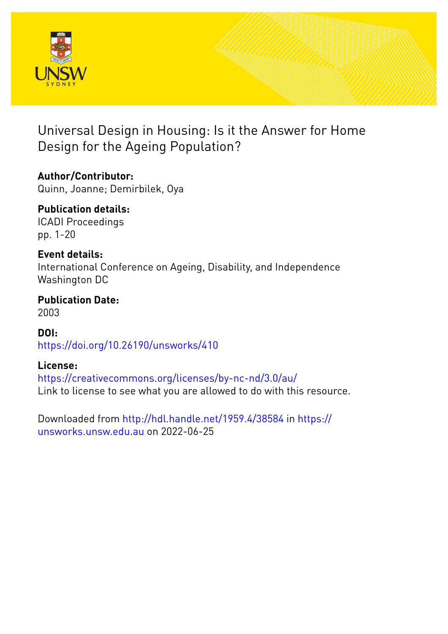

# Universal Design in Housing: Is it the Answer for Home Design for the Ageing Population?

**Author/Contributor:** Quinn, Joanne; Demirbilek, Oya

**Publication details:** ICADI Proceedings pp. 1-20

### **Event details:**

International Conference on Ageing, Disability, and Independence Washington DC

**Publication Date:** 2003

**DOI:** [https://doi.org/10.26190/unsworks/410](http://dx.doi.org/https://doi.org/10.26190/unsworks/410)

## **License:**

<https://creativecommons.org/licenses/by-nc-nd/3.0/au/> Link to license to see what you are allowed to do with this resource.

Downloaded from <http://hdl.handle.net/1959.4/38584> in [https://](https://unsworks.unsw.edu.au) [unsworks.unsw.edu.au](https://unsworks.unsw.edu.au) on 2022-06-25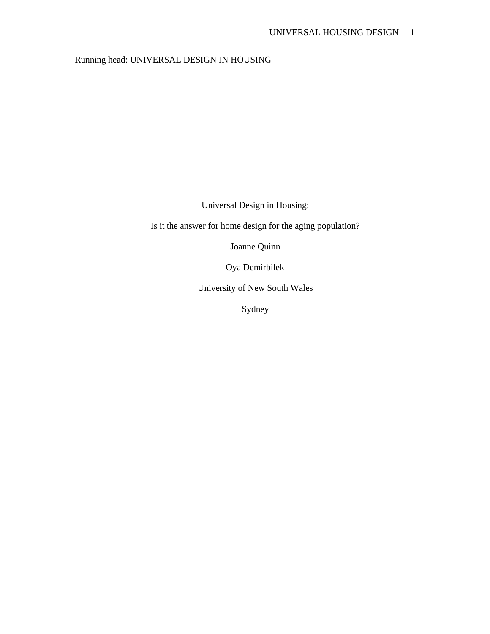### Running head: UNIVERSAL DESIGN IN HOUSING

Universal Design in Housing:

Is it the answer for home design for the aging population?

Joanne Quinn

Oya Demirbilek

University of New South Wales

Sydney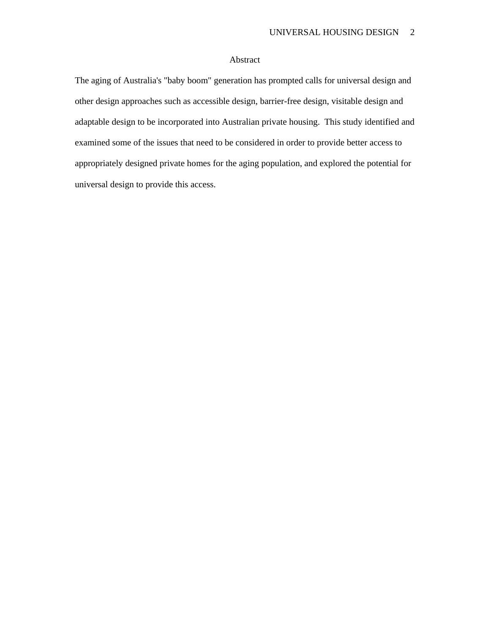#### Abstract

The aging of Australia's "baby boom" generation has prompted calls for universal design and other design approaches such as accessible design, barrier-free design, visitable design and adaptable design to be incorporated into Australian private housing. This study identified and examined some of the issues that need to be considered in order to provide better access to appropriately designed private homes for the aging population, and explored the potential for universal design to provide this access.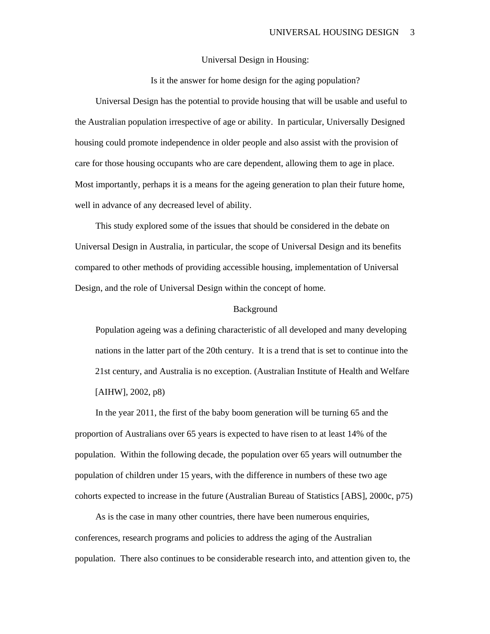#### Universal Design in Housing:

Is it the answer for home design for the aging population?

Universal Design has the potential to provide housing that will be usable and useful to the Australian population irrespective of age or ability. In particular, Universally Designed housing could promote independence in older people and also assist with the provision of care for those housing occupants who are care dependent, allowing them to age in place. Most importantly, perhaps it is a means for the ageing generation to plan their future home, well in advance of any decreased level of ability.

This study explored some of the issues that should be considered in the debate on Universal Design in Australia, in particular, the scope of Universal Design and its benefits compared to other methods of providing accessible housing, implementation of Universal Design, and the role of Universal Design within the concept of home.

#### Background

Population ageing was a defining characteristic of all developed and many developing nations in the latter part of the 20th century. It is a trend that is set to continue into the 21st century, and Australia is no exception. (Australian Institute of Health and Welfare [AIHW], 2002, p8)

In the year 2011, the first of the baby boom generation will be turning 65 and the proportion of Australians over 65 years is expected to have risen to at least 14% of the population. Within the following decade, the population over 65 years will outnumber the population of children under 15 years, with the difference in numbers of these two age cohorts expected to increase in the future (Australian Bureau of Statistics [ABS], 2000c, p75)

As is the case in many other countries, there have been numerous enquiries, conferences, research programs and policies to address the aging of the Australian population. There also continues to be considerable research into, and attention given to, the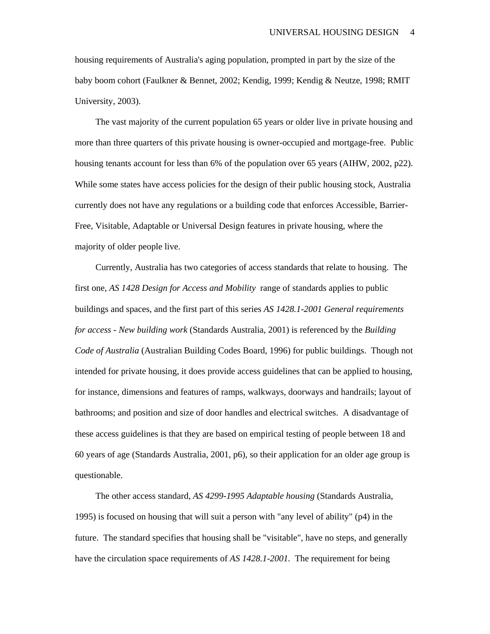housing requirements of Australia's aging population, prompted in part by the size of the baby boom cohort (Faulkner & Bennet, 2002; Kendig, 1999; Kendig & Neutze, 1998; RMIT University, 2003).

The vast majority of the current population 65 years or older live in private housing and more than three quarters of this private housing is owner-occupied and mortgage-free. Public housing tenants account for less than 6% of the population over 65 years (AIHW, 2002, p22). While some states have access policies for the design of their public housing stock, Australia currently does not have any regulations or a building code that enforces Accessible, Barrier-Free, Visitable, Adaptable or Universal Design features in private housing, where the majority of older people live.

Currently, Australia has two categories of access standards that relate to housing. The first one, *AS 1428 Design for Access and Mobility* range of standards applies to public buildings and spaces, and the first part of this series *AS 1428.1-2001 General requirements for access - New building work* (Standards Australia, 2001) is referenced by the *Building Code of Australia* (Australian Building Codes Board, 1996) for public buildings. Though not intended for private housing, it does provide access guidelines that can be applied to housing, for instance, dimensions and features of ramps, walkways, doorways and handrails; layout of bathrooms; and position and size of door handles and electrical switches. A disadvantage of these access guidelines is that they are based on empirical testing of people between 18 and 60 years of age (Standards Australia, 2001, p6), so their application for an older age group is questionable.

The other access standard, *AS 4299-1995 Adaptable housing* (Standards Australia, 1995) is focused on housing that will suit a person with "any level of ability" (p4) in the future. The standard specifies that housing shall be "visitable", have no steps, and generally have the circulation space requirements of *AS 1428.1-2001.* The requirement for being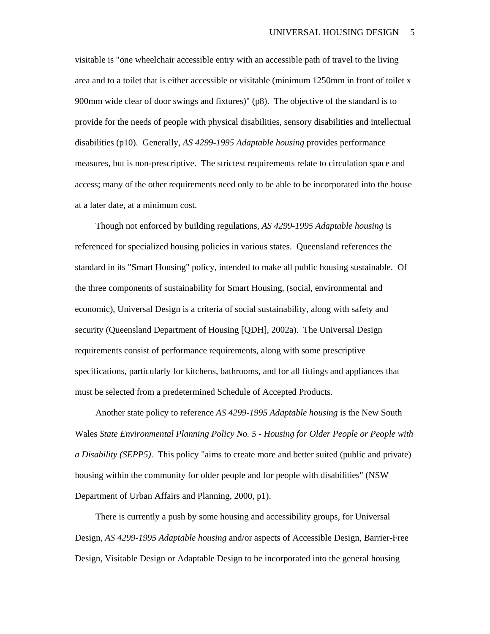visitable is "one wheelchair accessible entry with an accessible path of travel to the living area and to a toilet that is either accessible or visitable (minimum 1250mm in front of toilet x 900mm wide clear of door swings and fixtures)" (p8). The objective of the standard is to provide for the needs of people with physical disabilities, sensory disabilities and intellectual disabilities (p10). Generally, *AS 4299-1995 Adaptable housing* provides performance measures, but is non-prescriptive. The strictest requirements relate to circulation space and access; many of the other requirements need only to be able to be incorporated into the house at a later date, at a minimum cost.

Though not enforced by building regulations, *AS 4299-1995 Adaptable housing* is referenced for specialized housing policies in various states. Queensland references the standard in its "Smart Housing" policy, intended to make all public housing sustainable. Of the three components of sustainability for Smart Housing, (social, environmental and economic), Universal Design is a criteria of social sustainability, along with safety and security (Queensland Department of Housing [QDH], 2002a). The Universal Design requirements consist of performance requirements, along with some prescriptive specifications, particularly for kitchens, bathrooms, and for all fittings and appliances that must be selected from a predetermined Schedule of Accepted Products.

Another state policy to reference *AS 4299-1995 Adaptable housing* is the New South Wales *State Environmental Planning Policy No. 5 - Housing for Older People or People with a Disability (SEPP5)*. This policy "aims to create more and better suited (public and private) housing within the community for older people and for people with disabilities" (NSW Department of Urban Affairs and Planning, 2000, p1).

There is currently a push by some housing and accessibility groups, for Universal Design, *AS 4299-1995 Adaptable housing* and/or aspects of Accessible Design, Barrier-Free Design, Visitable Design or Adaptable Design to be incorporated into the general housing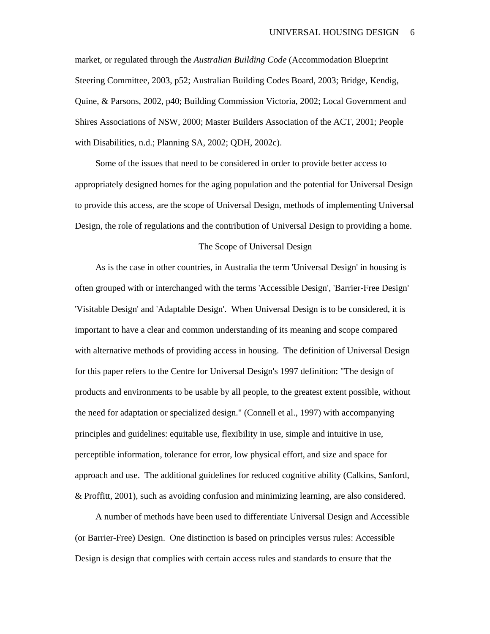market, or regulated through the *Australian Building Code* (Accommodation Blueprint Steering Committee, 2003, p52; Australian Building Codes Board, 2003; Bridge, Kendig, Quine, & Parsons, 2002, p40; Building Commission Victoria, 2002; Local Government and Shires Associations of NSW, 2000; Master Builders Association of the ACT, 2001; People with Disabilities, n.d.; Planning SA, 2002; QDH, 2002c).

Some of the issues that need to be considered in order to provide better access to appropriately designed homes for the aging population and the potential for Universal Design to provide this access, are the scope of Universal Design, methods of implementing Universal Design, the role of regulations and the contribution of Universal Design to providing a home.

#### The Scope of Universal Design

As is the case in other countries, in Australia the term 'Universal Design' in housing is often grouped with or interchanged with the terms 'Accessible Design', 'Barrier-Free Design' 'Visitable Design' and 'Adaptable Design'. When Universal Design is to be considered, it is important to have a clear and common understanding of its meaning and scope compared with alternative methods of providing access in housing. The definition of Universal Design for this paper refers to the Centre for Universal Design's 1997 definition: "The design of products and environments to be usable by all people, to the greatest extent possible, without the need for adaptation or specialized design." (Connell et al., 1997) with accompanying principles and guidelines: equitable use, flexibility in use, simple and intuitive in use, perceptible information, tolerance for error, low physical effort, and size and space for approach and use. The additional guidelines for reduced cognitive ability (Calkins, Sanford, & Proffitt, 2001), such as avoiding confusion and minimizing learning, are also considered.

A number of methods have been used to differentiate Universal Design and Accessible (or Barrier-Free) Design. One distinction is based on principles versus rules: Accessible Design is design that complies with certain access rules and standards to ensure that the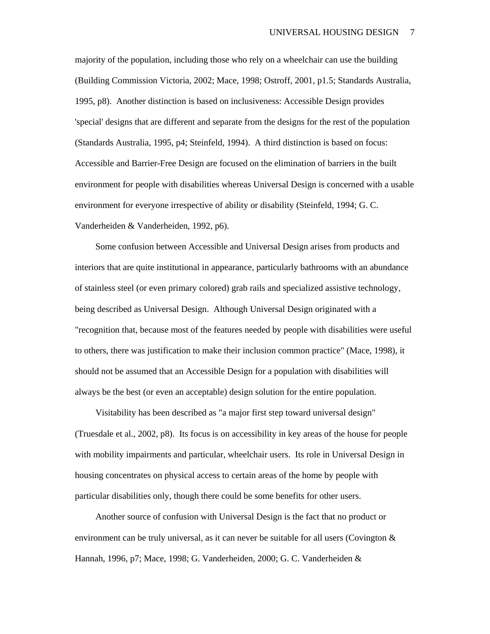majority of the population, including those who rely on a wheelchair can use the building (Building Commission Victoria, 2002; Mace, 1998; Ostroff, 2001, p1.5; Standards Australia, 1995, p8). Another distinction is based on inclusiveness: Accessible Design provides 'special' designs that are different and separate from the designs for the rest of the population (Standards Australia, 1995, p4; Steinfeld, 1994). A third distinction is based on focus: Accessible and Barrier-Free Design are focused on the elimination of barriers in the built environment for people with disabilities whereas Universal Design is concerned with a usable environment for everyone irrespective of ability or disability (Steinfeld, 1994; G. C. Vanderheiden & Vanderheiden, 1992, p6).

Some confusion between Accessible and Universal Design arises from products and interiors that are quite institutional in appearance, particularly bathrooms with an abundance of stainless steel (or even primary colored) grab rails and specialized assistive technology, being described as Universal Design. Although Universal Design originated with a "recognition that, because most of the features needed by people with disabilities were useful to others, there was justification to make their inclusion common practice" (Mace, 1998), it should not be assumed that an Accessible Design for a population with disabilities will always be the best (or even an acceptable) design solution for the entire population.

Visitability has been described as "a major first step toward universal design" (Truesdale et al., 2002, p8). Its focus is on accessibility in key areas of the house for people with mobility impairments and particular, wheelchair users. Its role in Universal Design in housing concentrates on physical access to certain areas of the home by people with particular disabilities only, though there could be some benefits for other users.

Another source of confusion with Universal Design is the fact that no product or environment can be truly universal, as it can never be suitable for all users (Covington & Hannah, 1996, p7; Mace, 1998; G. Vanderheiden, 2000; G. C. Vanderheiden &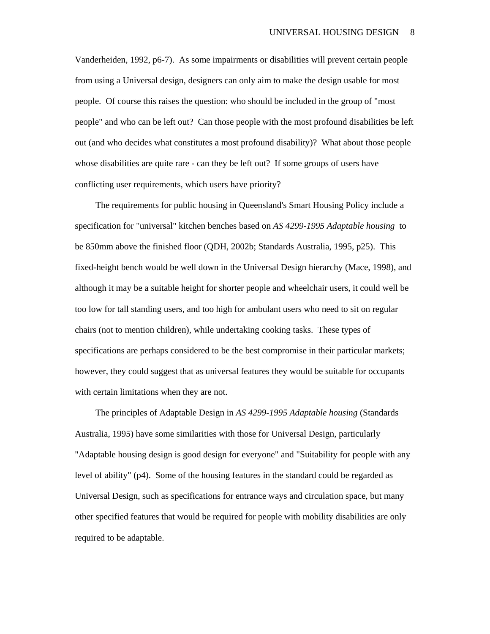Vanderheiden, 1992, p6-7). As some impairments or disabilities will prevent certain people from using a Universal design, designers can only aim to make the design usable for most people. Of course this raises the question: who should be included in the group of "most people" and who can be left out? Can those people with the most profound disabilities be left out (and who decides what constitutes a most profound disability)? What about those people whose disabilities are quite rare - can they be left out? If some groups of users have conflicting user requirements, which users have priority?

The requirements for public housing in Queensland's Smart Housing Policy include a specification for "universal" kitchen benches based on *AS 4299-1995 Adaptable housing* to be 850mm above the finished floor (QDH, 2002b; Standards Australia, 1995, p25). This fixed-height bench would be well down in the Universal Design hierarchy (Mace, 1998), and although it may be a suitable height for shorter people and wheelchair users, it could well be too low for tall standing users, and too high for ambulant users who need to sit on regular chairs (not to mention children), while undertaking cooking tasks. These types of specifications are perhaps considered to be the best compromise in their particular markets; however, they could suggest that as universal features they would be suitable for occupants with certain limitations when they are not.

The principles of Adaptable Design in *AS 4299-1995 Adaptable housing* (Standards Australia, 1995) have some similarities with those for Universal Design, particularly "Adaptable housing design is good design for everyone" and "Suitability for people with any level of ability" (p4). Some of the housing features in the standard could be regarded as Universal Design, such as specifications for entrance ways and circulation space, but many other specified features that would be required for people with mobility disabilities are only required to be adaptable.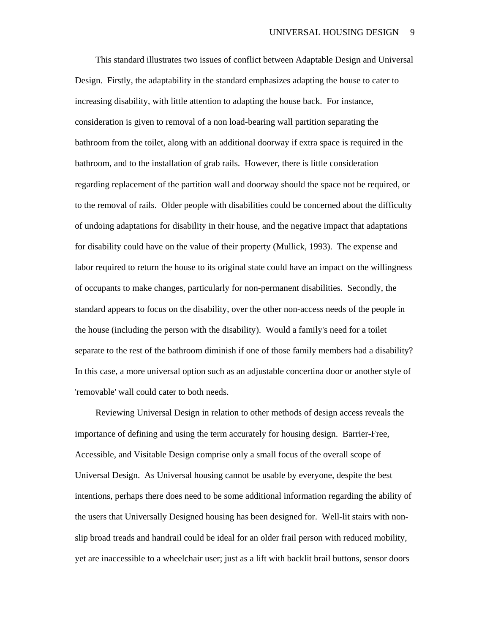This standard illustrates two issues of conflict between Adaptable Design and Universal Design. Firstly, the adaptability in the standard emphasizes adapting the house to cater to increasing disability, with little attention to adapting the house back. For instance, consideration is given to removal of a non load-bearing wall partition separating the bathroom from the toilet, along with an additional doorway if extra space is required in the bathroom, and to the installation of grab rails. However, there is little consideration regarding replacement of the partition wall and doorway should the space not be required, or to the removal of rails. Older people with disabilities could be concerned about the difficulty of undoing adaptations for disability in their house, and the negative impact that adaptations for disability could have on the value of their property (Mullick, 1993). The expense and labor required to return the house to its original state could have an impact on the willingness of occupants to make changes, particularly for non-permanent disabilities. Secondly, the standard appears to focus on the disability, over the other non-access needs of the people in the house (including the person with the disability). Would a family's need for a toilet separate to the rest of the bathroom diminish if one of those family members had a disability? In this case, a more universal option such as an adjustable concertina door or another style of 'removable' wall could cater to both needs.

Reviewing Universal Design in relation to other methods of design access reveals the importance of defining and using the term accurately for housing design. Barrier-Free, Accessible, and Visitable Design comprise only a small focus of the overall scope of Universal Design. As Universal housing cannot be usable by everyone, despite the best intentions, perhaps there does need to be some additional information regarding the ability of the users that Universally Designed housing has been designed for. Well-lit stairs with nonslip broad treads and handrail could be ideal for an older frail person with reduced mobility, yet are inaccessible to a wheelchair user; just as a lift with backlit brail buttons, sensor doors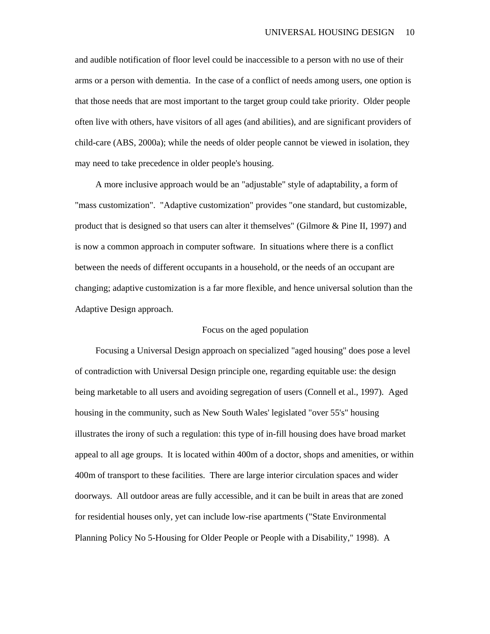and audible notification of floor level could be inaccessible to a person with no use of their arms or a person with dementia. In the case of a conflict of needs among users, one option is that those needs that are most important to the target group could take priority. Older people often live with others, have visitors of all ages (and abilities), and are significant providers of child-care (ABS, 2000a); while the needs of older people cannot be viewed in isolation, they may need to take precedence in older people's housing.

A more inclusive approach would be an "adjustable" style of adaptability, a form of "mass customization". "Adaptive customization" provides "one standard, but customizable, product that is designed so that users can alter it themselves" (Gilmore & Pine II, 1997) and is now a common approach in computer software. In situations where there is a conflict between the needs of different occupants in a household, or the needs of an occupant are changing; adaptive customization is a far more flexible, and hence universal solution than the Adaptive Design approach.

#### Focus on the aged population

Focusing a Universal Design approach on specialized "aged housing" does pose a level of contradiction with Universal Design principle one, regarding equitable use: the design being marketable to all users and avoiding segregation of users (Connell et al., 1997). Aged housing in the community, such as New South Wales' legislated "over 55's" housing illustrates the irony of such a regulation: this type of in-fill housing does have broad market appeal to all age groups. It is located within 400m of a doctor, shops and amenities, or within 400m of transport to these facilities. There are large interior circulation spaces and wider doorways. All outdoor areas are fully accessible, and it can be built in areas that are zoned for residential houses only, yet can include low-rise apartments ("State Environmental Planning Policy No 5-Housing for Older People or People with a Disability," 1998). A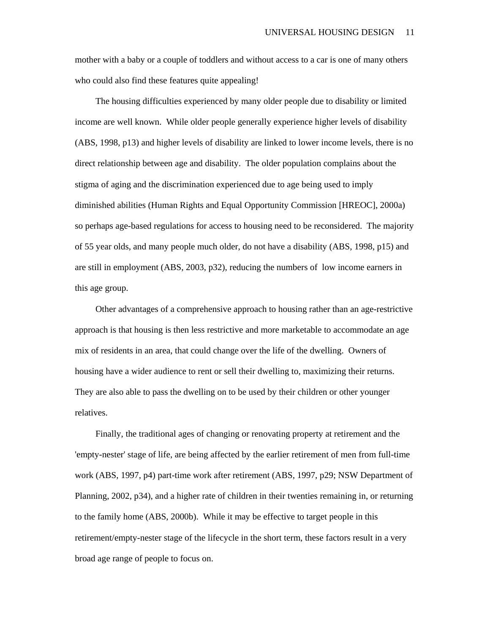mother with a baby or a couple of toddlers and without access to a car is one of many others who could also find these features quite appealing!

The housing difficulties experienced by many older people due to disability or limited income are well known. While older people generally experience higher levels of disability (ABS, 1998, p13) and higher levels of disability are linked to lower income levels, there is no direct relationship between age and disability. The older population complains about the stigma of aging and the discrimination experienced due to age being used to imply diminished abilities (Human Rights and Equal Opportunity Commission [HREOC], 2000a) so perhaps age-based regulations for access to housing need to be reconsidered. The majority of 55 year olds, and many people much older, do not have a disability (ABS, 1998, p15) and are still in employment (ABS, 2003, p32), reducing the numbers of low income earners in this age group.

Other advantages of a comprehensive approach to housing rather than an age-restrictive approach is that housing is then less restrictive and more marketable to accommodate an age mix of residents in an area, that could change over the life of the dwelling. Owners of housing have a wider audience to rent or sell their dwelling to, maximizing their returns. They are also able to pass the dwelling on to be used by their children or other younger relatives.

Finally, the traditional ages of changing or renovating property at retirement and the 'empty-nester' stage of life, are being affected by the earlier retirement of men from full-time work (ABS, 1997, p4) part-time work after retirement (ABS, 1997, p29; NSW Department of Planning, 2002, p34), and a higher rate of children in their twenties remaining in, or returning to the family home (ABS, 2000b). While it may be effective to target people in this retirement/empty-nester stage of the lifecycle in the short term, these factors result in a very broad age range of people to focus on.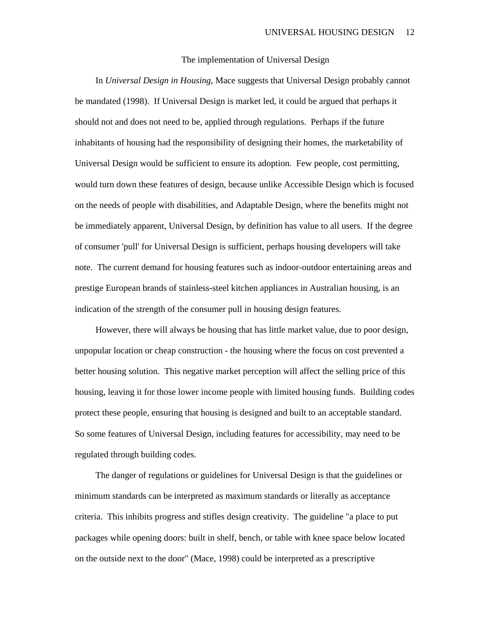#### The implementation of Universal Design

In *Universal Design in Housing*, Mace suggests that Universal Design probably cannot be mandated (1998). If Universal Design is market led, it could be argued that perhaps it should not and does not need to be, applied through regulations. Perhaps if the future inhabitants of housing had the responsibility of designing their homes, the marketability of Universal Design would be sufficient to ensure its adoption. Few people, cost permitting, would turn down these features of design, because unlike Accessible Design which is focused on the needs of people with disabilities, and Adaptable Design, where the benefits might not be immediately apparent, Universal Design, by definition has value to all users. If the degree of consumer 'pull' for Universal Design is sufficient, perhaps housing developers will take note. The current demand for housing features such as indoor-outdoor entertaining areas and prestige European brands of stainless-steel kitchen appliances in Australian housing, is an indication of the strength of the consumer pull in housing design features.

However, there will always be housing that has little market value, due to poor design, unpopular location or cheap construction - the housing where the focus on cost prevented a better housing solution. This negative market perception will affect the selling price of this housing, leaving it for those lower income people with limited housing funds. Building codes protect these people, ensuring that housing is designed and built to an acceptable standard. So some features of Universal Design, including features for accessibility, may need to be regulated through building codes.

The danger of regulations or guidelines for Universal Design is that the guidelines or minimum standards can be interpreted as maximum standards or literally as acceptance criteria. This inhibits progress and stifles design creativity. The guideline "a place to put packages while opening doors: built in shelf, bench, or table with knee space below located on the outside next to the door" (Mace, 1998) could be interpreted as a prescriptive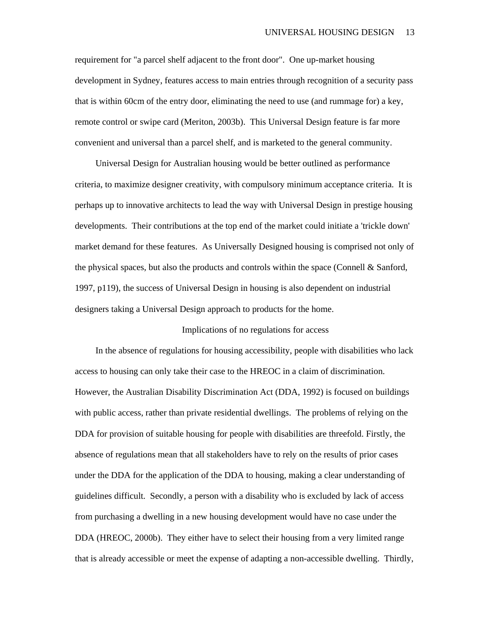requirement for "a parcel shelf adjacent to the front door". One up-market housing development in Sydney, features access to main entries through recognition of a security pass that is within 60cm of the entry door, eliminating the need to use (and rummage for) a key, remote control or swipe card (Meriton, 2003b). This Universal Design feature is far more convenient and universal than a parcel shelf, and is marketed to the general community.

Universal Design for Australian housing would be better outlined as performance criteria, to maximize designer creativity, with compulsory minimum acceptance criteria. It is perhaps up to innovative architects to lead the way with Universal Design in prestige housing developments. Their contributions at the top end of the market could initiate a 'trickle down' market demand for these features. As Universally Designed housing is comprised not only of the physical spaces, but also the products and controls within the space (Connell & Sanford, 1997, p119), the success of Universal Design in housing is also dependent on industrial designers taking a Universal Design approach to products for the home.

#### Implications of no regulations for access

In the absence of regulations for housing accessibility, people with disabilities who lack access to housing can only take their case to the HREOC in a claim of discrimination. However, the Australian Disability Discrimination Act (DDA, 1992) is focused on buildings with public access, rather than private residential dwellings. The problems of relying on the DDA for provision of suitable housing for people with disabilities are threefold. Firstly, the absence of regulations mean that all stakeholders have to rely on the results of prior cases under the DDA for the application of the DDA to housing, making a clear understanding of guidelines difficult. Secondly, a person with a disability who is excluded by lack of access from purchasing a dwelling in a new housing development would have no case under the DDA (HREOC, 2000b). They either have to select their housing from a very limited range that is already accessible or meet the expense of adapting a non-accessible dwelling. Thirdly,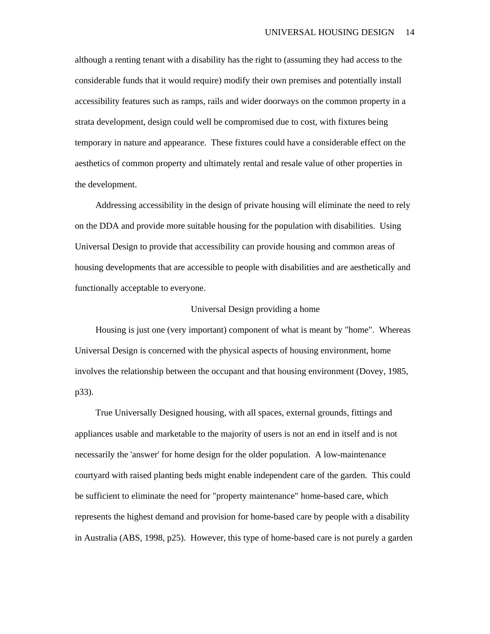although a renting tenant with a disability has the right to (assuming they had access to the considerable funds that it would require) modify their own premises and potentially install accessibility features such as ramps, rails and wider doorways on the common property in a strata development, design could well be compromised due to cost, with fixtures being temporary in nature and appearance. These fixtures could have a considerable effect on the aesthetics of common property and ultimately rental and resale value of other properties in the development.

Addressing accessibility in the design of private housing will eliminate the need to rely on the DDA and provide more suitable housing for the population with disabilities. Using Universal Design to provide that accessibility can provide housing and common areas of housing developments that are accessible to people with disabilities and are aesthetically and functionally acceptable to everyone.

#### Universal Design providing a home

Housing is just one (very important) component of what is meant by "home". Whereas Universal Design is concerned with the physical aspects of housing environment, home involves the relationship between the occupant and that housing environment (Dovey, 1985, p33).

True Universally Designed housing, with all spaces, external grounds, fittings and appliances usable and marketable to the majority of users is not an end in itself and is not necessarily the 'answer' for home design for the older population. A low-maintenance courtyard with raised planting beds might enable independent care of the garden. This could be sufficient to eliminate the need for "property maintenance" home-based care, which represents the highest demand and provision for home-based care by people with a disability in Australia (ABS, 1998, p25). However, this type of home-based care is not purely a garden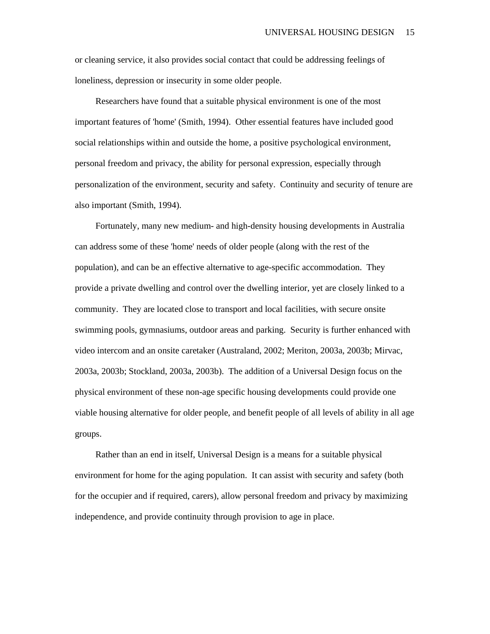or cleaning service, it also provides social contact that could be addressing feelings of loneliness, depression or insecurity in some older people.

Researchers have found that a suitable physical environment is one of the most important features of 'home' (Smith, 1994). Other essential features have included good social relationships within and outside the home, a positive psychological environment, personal freedom and privacy, the ability for personal expression, especially through personalization of the environment, security and safety. Continuity and security of tenure are also important (Smith, 1994).

Fortunately, many new medium- and high-density housing developments in Australia can address some of these 'home' needs of older people (along with the rest of the population), and can be an effective alternative to age-specific accommodation. They provide a private dwelling and control over the dwelling interior, yet are closely linked to a community. They are located close to transport and local facilities, with secure onsite swimming pools, gymnasiums, outdoor areas and parking. Security is further enhanced with video intercom and an onsite caretaker (Australand, 2002; Meriton, 2003a, 2003b; Mirvac, 2003a, 2003b; Stockland, 2003a, 2003b). The addition of a Universal Design focus on the physical environment of these non-age specific housing developments could provide one viable housing alternative for older people, and benefit people of all levels of ability in all age groups.

Rather than an end in itself, Universal Design is a means for a suitable physical environment for home for the aging population. It can assist with security and safety (both for the occupier and if required, carers), allow personal freedom and privacy by maximizing independence, and provide continuity through provision to age in place.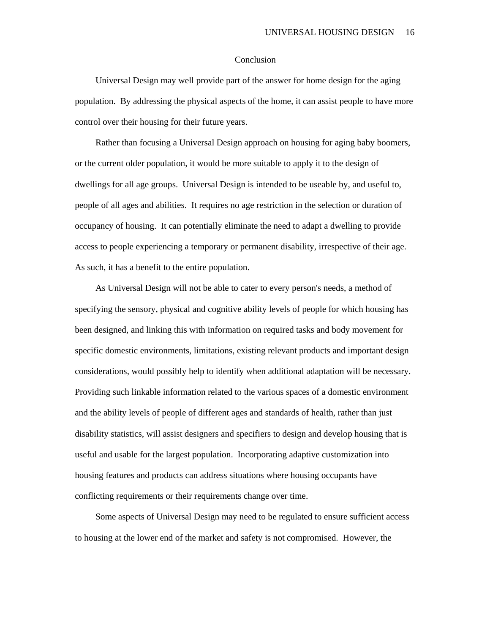#### Conclusion

Universal Design may well provide part of the answer for home design for the aging population. By addressing the physical aspects of the home, it can assist people to have more control over their housing for their future years.

Rather than focusing a Universal Design approach on housing for aging baby boomers, or the current older population, it would be more suitable to apply it to the design of dwellings for all age groups. Universal Design is intended to be useable by, and useful to, people of all ages and abilities. It requires no age restriction in the selection or duration of occupancy of housing. It can potentially eliminate the need to adapt a dwelling to provide access to people experiencing a temporary or permanent disability, irrespective of their age. As such, it has a benefit to the entire population.

As Universal Design will not be able to cater to every person's needs, a method of specifying the sensory, physical and cognitive ability levels of people for which housing has been designed, and linking this with information on required tasks and body movement for specific domestic environments, limitations, existing relevant products and important design considerations, would possibly help to identify when additional adaptation will be necessary. Providing such linkable information related to the various spaces of a domestic environment and the ability levels of people of different ages and standards of health, rather than just disability statistics, will assist designers and specifiers to design and develop housing that is useful and usable for the largest population. Incorporating adaptive customization into housing features and products can address situations where housing occupants have conflicting requirements or their requirements change over time.

Some aspects of Universal Design may need to be regulated to ensure sufficient access to housing at the lower end of the market and safety is not compromised. However, the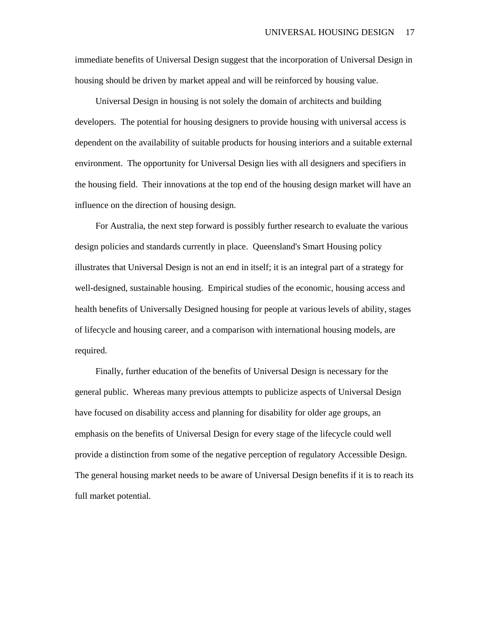immediate benefits of Universal Design suggest that the incorporation of Universal Design in housing should be driven by market appeal and will be reinforced by housing value.

Universal Design in housing is not solely the domain of architects and building developers. The potential for housing designers to provide housing with universal access is dependent on the availability of suitable products for housing interiors and a suitable external environment. The opportunity for Universal Design lies with all designers and specifiers in the housing field. Their innovations at the top end of the housing design market will have an influence on the direction of housing design.

For Australia, the next step forward is possibly further research to evaluate the various design policies and standards currently in place. Queensland's Smart Housing policy illustrates that Universal Design is not an end in itself; it is an integral part of a strategy for well-designed, sustainable housing. Empirical studies of the economic, housing access and health benefits of Universally Designed housing for people at various levels of ability, stages of lifecycle and housing career, and a comparison with international housing models, are required.

Finally, further education of the benefits of Universal Design is necessary for the general public. Whereas many previous attempts to publicize aspects of Universal Design have focused on disability access and planning for disability for older age groups, an emphasis on the benefits of Universal Design for every stage of the lifecycle could well provide a distinction from some of the negative perception of regulatory Accessible Design. The general housing market needs to be aware of Universal Design benefits if it is to reach its full market potential.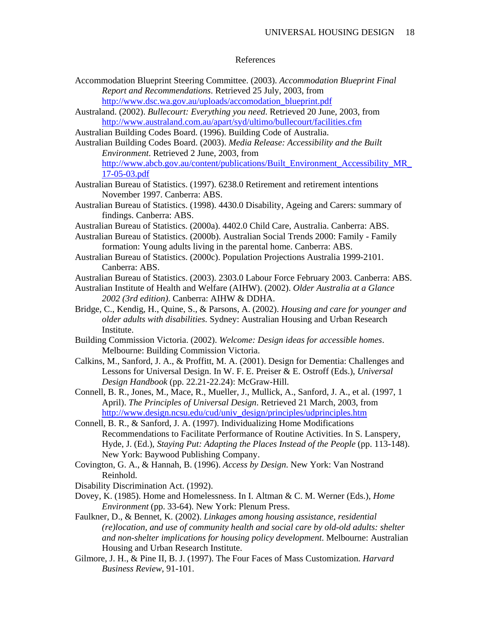#### References

- Accommodation Blueprint Steering Committee. (2003). *Accommodation Blueprint Final Report and Recommendations*. Retrieved 25 July, 2003, from http://www.dsc.wa.gov.au/uploads/accomodation\_blueprint.pdf
- Australand. (2002). *Bullecourt: Everything you need*. Retrieved 20 June, 2003, from http://www.australand.com.au/apart/syd/ultimo/bullecourt/facilities.cfm
- Australian Building Codes Board. (1996). Building Code of Australia.
- Australian Building Codes Board. (2003). *Media Release: Accessibility and the Built Environment*. Retrieved 2 June, 2003, from http://www.abcb.gov.au/content/publications/Built\_Environment\_Accessibility\_MR\_ 17-05-03.pdf
- Australian Bureau of Statistics. (1997). 6238.0 Retirement and retirement intentions November 1997. Canberra: ABS.
- Australian Bureau of Statistics. (1998). 4430.0 Disability, Ageing and Carers: summary of findings. Canberra: ABS.
- Australian Bureau of Statistics. (2000a). 4402.0 Child Care, Australia. Canberra: ABS.
- Australian Bureau of Statistics. (2000b). Australian Social Trends 2000: Family Family formation: Young adults living in the parental home. Canberra: ABS.
- Australian Bureau of Statistics. (2000c). Population Projections Australia 1999-2101. Canberra: ABS.
- Australian Bureau of Statistics. (2003). 2303.0 Labour Force February 2003. Canberra: ABS.
- Australian Institute of Health and Welfare (AIHW). (2002). *Older Australia at a Glance 2002 (3rd edition)*. Canberra: AIHW & DDHA.
- Bridge, C., Kendig, H., Quine, S., & Parsons, A. (2002). *Housing and care for younger and older adults with disabilities*. Sydney: Australian Housing and Urban Research Institute.
- Building Commission Victoria. (2002). *Welcome: Design ideas for accessible homes*. Melbourne: Building Commission Victoria.
- Calkins, M., Sanford, J. A., & Proffitt, M. A. (2001). Design for Dementia: Challenges and Lessons for Universal Design. In W. F. E. Preiser & E. Ostroff (Eds.), *Universal Design Handbook* (pp. 22.21-22.24): McGraw-Hill.
- Connell, B. R., Jones, M., Mace, R., Mueller, J., Mullick, A., Sanford, J. A., et al. (1997, 1 April). *The Principles of Universal Design*. Retrieved 21 March, 2003, from http://www.design.ncsu.edu/cud/univ\_design/principles/udprinciples.htm
- Connell, B. R., & Sanford, J. A. (1997). Individualizing Home Modifications Recommendations to Facilitate Performance of Routine Activities. In S. Lanspery, Hyde, J. (Ed.), *Staying Put: Adapting the Places Instead of the People* (pp. 113-148). New York: Baywood Publishing Company.
- Covington, G. A., & Hannah, B. (1996). *Access by Design*. New York: Van Nostrand Reinhold.
- Disability Discrimination Act. (1992).
- Dovey, K. (1985). Home and Homelessness. In I. Altman & C. M. Werner (Eds.), *Home Environment* (pp. 33-64). New York: Plenum Press.
- Faulkner, D., & Bennet, K. (2002). *Linkages among housing assistance, residential (re)location, and use of community health and social care by old-old adults: shelter and non-shelter implications for housing policy development*. Melbourne: Australian Housing and Urban Research Institute.
- Gilmore, J. H., & Pine II, B. J. (1997). The Four Faces of Mass Customization. *Harvard Business Review*, 91-101.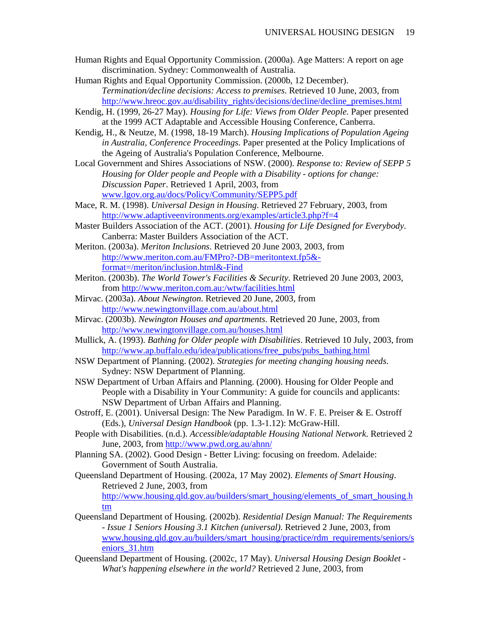- Human Rights and Equal Opportunity Commission. (2000a). Age Matters: A report on age discrimination. Sydney: Commonwealth of Australia.
- Human Rights and Equal Opportunity Commission. (2000b, 12 December). *Termination/decline decisions: Access to premises*. Retrieved 10 June, 2003, from http://www.hreoc.gov.au/disability\_rights/decisions/decline/decline\_premises.html
- Kendig, H. (1999, 26-27 May). *Housing for Life: Views from Older People.* Paper presented at the 1999 ACT Adaptable and Accessible Housing Conference, Canberra.
- Kendig, H., & Neutze, M. (1998, 18-19 March). *Housing Implications of Population Ageing in Australia, Conference Proceedings.* Paper presented at the Policy Implications of the Ageing of Australia's Population Conference, Melbourne.
- Local Government and Shires Associations of NSW. (2000). *Response to: Review of SEPP 5 Housing for Older people and People with a Disability - options for change: Discussion Paper*. Retrieved 1 April, 2003, from www.lgov.org.au/docs/Policy/Community/SEPP5.pdf
- Mace, R. M. (1998). *Universal Design in Housing*. Retrieved 27 February, 2003, from http://www.adaptiveenvironments.org/examples/article3.php?f=4
- Master Builders Association of the ACT. (2001). *Housing for Life Designed for Everybody*. Canberra: Master Builders Association of the ACT.
- Meriton. (2003a). *Meriton Inclusions*. Retrieved 20 June 2003, 2003, from http://www.meriton.com.au/FMPro?-DB=meritontext.fp5& format=/meriton/inclusion.html&-Find
- Meriton. (2003b). *The World Tower's Facilities & Security*. Retrieved 20 June 2003, 2003, from http://www.meriton.com.au:/wtw/facilities.html
- Mirvac. (2003a). *About Newington*. Retrieved 20 June, 2003, from http://www.newingtonvillage.com.au/about.html
- Mirvac. (2003b). *Newington Houses and apartments*. Retrieved 20 June, 2003, from http://www.newingtonvillage.com.au/houses.html
- Mullick, A. (1993). *Bathing for Older people with Disabilities*. Retrieved 10 July, 2003, from http://www.ap.buffalo.edu/idea/publications/free\_pubs/pubs\_bathing.html
- NSW Department of Planning. (2002). *Strategies for meeting changing housing needs*. Sydney: NSW Department of Planning.
- NSW Department of Urban Affairs and Planning. (2000). Housing for Older People and People with a Disability in Your Community: A guide for councils and applicants: NSW Department of Urban Affairs and Planning.
- Ostroff, E. (2001). Universal Design: The New Paradigm. In W. F. E. Preiser & E. Ostroff (Eds.), *Universal Design Handbook* (pp. 1.3-1.12): McGraw-Hill.
- People with Disabilities. (n.d.). *Accessible/adaptable Housing National Network*. Retrieved 2 June, 2003, from http://www.pwd.org.au/ahnn/
- Planning SA. (2002). Good Design Better Living: focusing on freedom. Adelaide: Government of South Australia.
- Queensland Department of Housing. (2002a, 17 May 2002). *Elements of Smart Housing*. Retrieved 2 June, 2003, from http://www.housing.qld.gov.au/builders/smart\_housing/elements\_of\_smart\_housing.h
	- tm
- Queensland Department of Housing. (2002b). *Residential Design Manual: The Requirements - Issue 1 Seniors Housing 3.1 Kitchen (universal)*. Retrieved 2 June, 2003, from www.housing.qld.gov.au/builders/smart\_housing/practice/rdm\_requirements/seniors/s eniors\_31.htm
- Queensland Department of Housing. (2002c, 17 May). *Universal Housing Design Booklet What's happening elsewhere in the world?* Retrieved 2 June, 2003, from